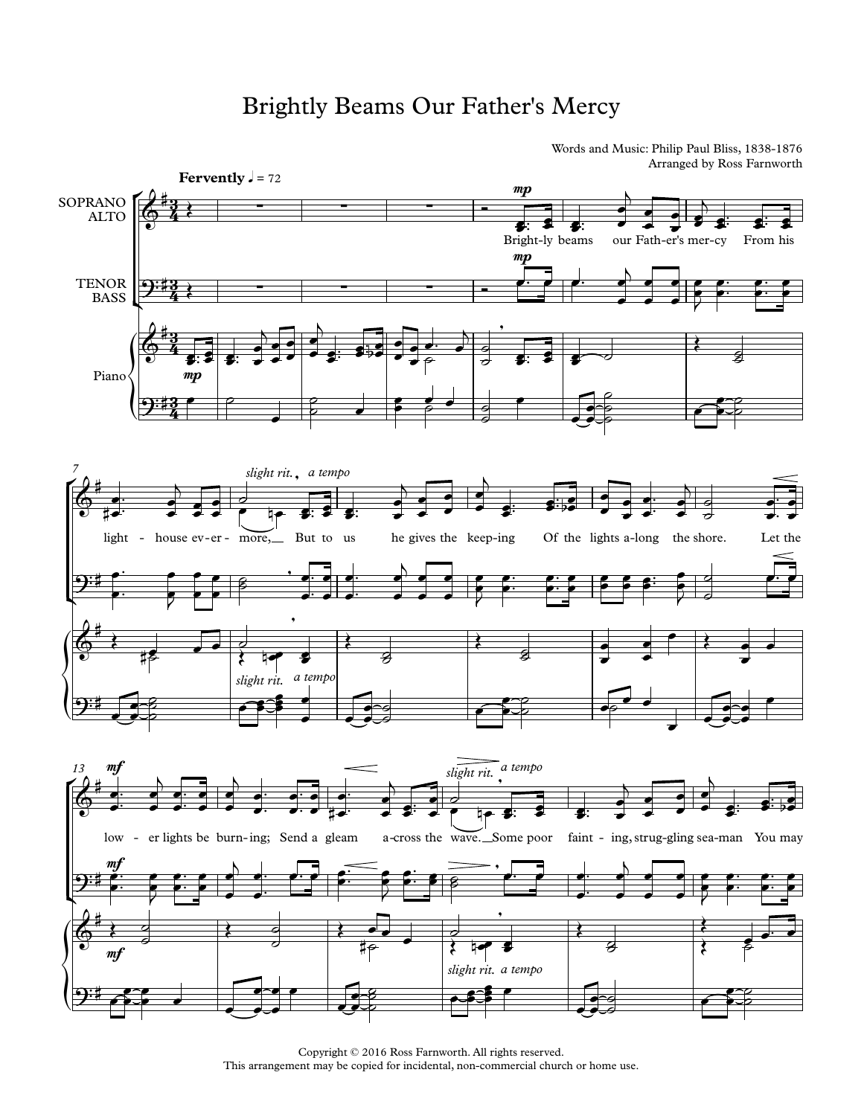## Brightly Beams Our Father's Mercy

Words and Music: Philip Paul Bliss, 1838-1876 Arranged by Ross Farnworth



Copyright © 2016 Ross Farnworth. All rights reserved. This arrangement may be copied for incidental, non-commercial church or home use.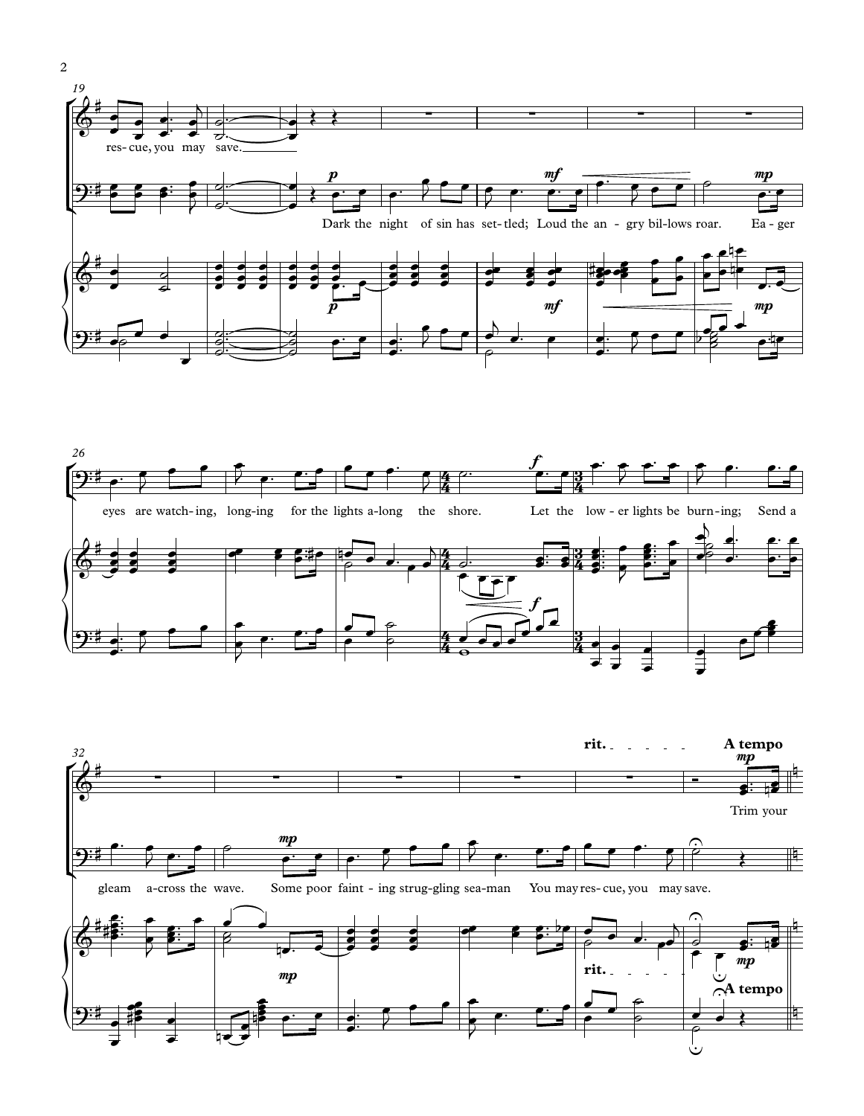





2